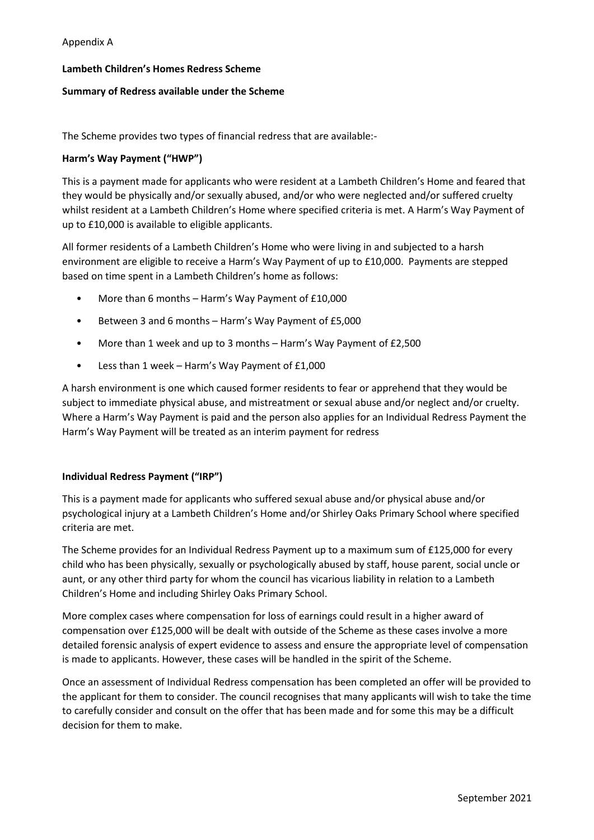## Appendix A

#### **Lambeth Children's Homes Redress Scheme**

#### **Summary of Redress available under the Scheme**

The Scheme provides two types of financial redress that are available:-

#### **Harm's Way Payment ("HWP")**

This is a payment made for applicants who were resident at a Lambeth Children's Home and feared that they would be physically and/or sexually abused, and/or who were neglected and/or suffered cruelty whilst resident at a Lambeth Children's Home where specified criteria is met. A Harm's Way Payment of up to £10,000 is available to eligible applicants.

All former residents of a Lambeth Children's Home who were living in and subjected to a harsh environment are eligible to receive a Harm's Way Payment of up to £10,000. Payments are stepped based on time spent in a Lambeth Children's home as follows:

- More than 6 months Harm's Way Payment of £10,000
- Between 3 and 6 months Harm's Way Payment of £5,000
- More than 1 week and up to 3 months Harm's Way Payment of £2,500
- Less than 1 week Harm's Way Payment of £1,000

A harsh environment is one which caused former residents to fear or apprehend that they would be subject to immediate physical abuse, and mistreatment or sexual abuse and/or neglect and/or cruelty. Where a Harm's Way Payment is paid and the person also applies for an Individual Redress Payment the Harm's Way Payment will be treated as an interim payment for redress

#### **Individual Redress Payment ("IRP")**

This is a payment made for applicants who suffered sexual abuse and/or physical abuse and/or psychological injury at a Lambeth Children's Home and/or Shirley Oaks Primary School where specified criteria are met.

The Scheme provides for an Individual Redress Payment up to a maximum sum of £125,000 for every child who has been physically, sexually or psychologically abused by staff, house parent, social uncle or aunt, or any other third party for whom the council has vicarious liability in relation to a Lambeth Children's Home and including Shirley Oaks Primary School.

More complex cases where compensation for loss of earnings could result in a higher award of compensation over £125,000 will be dealt with outside of the Scheme as these cases involve a more detailed forensic analysis of expert evidence to assess and ensure the appropriate level of compensation is made to applicants. However, these cases will be handled in the spirit of the Scheme.

Once an assessment of Individual Redress compensation has been completed an offer will be provided to the applicant for them to consider. The council recognises that many applicants will wish to take the time to carefully consider and consult on the offer that has been made and for some this may be a difficult decision for them to make.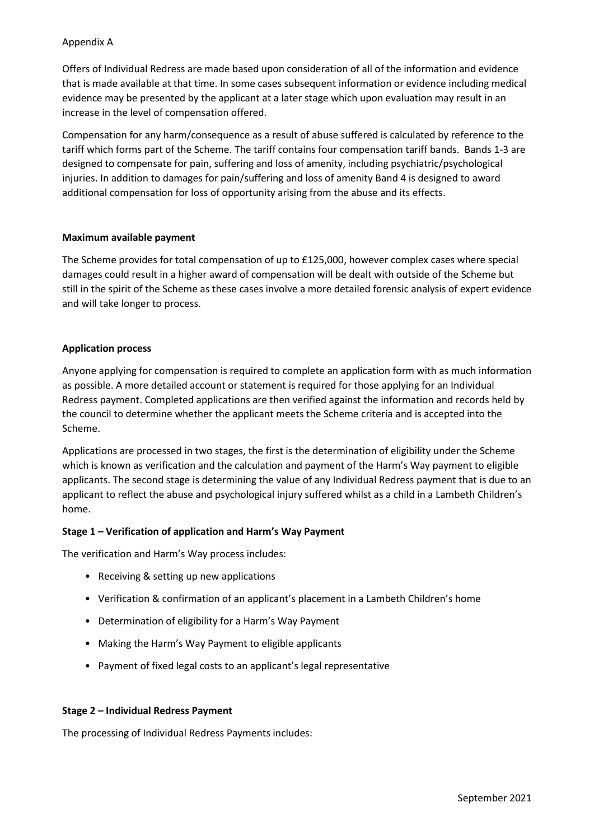# Appendix A

Offers of Individual Redress are made based upon consideration of all of the information and evidence that is made available at that time. In some cases subsequent information or evidence including medical evidence may be presented by the applicant at a later stage which upon evaluation may result in an increase in the level of compensation offered.

Compensation for any harm/consequence as a result of abuse suffered is calculated by reference to the tariff which forms part of the Scheme. The tariff contains four compensation tariff bands. Bands 1-3 are designed to compensate for pain, suffering and loss of amenity, including psychiatric/psychological injuries. In addition to damages for pain/suffering and loss of amenity Band 4 is designed to award additional compensation for loss of opportunity arising from the abuse and its effects.

## **Maximum available payment**

The Scheme provides for total compensation of up to £125,000, however complex cases where special damages could result in a higher award of compensation will be dealt with outside of the Scheme but still in the spirit of the Scheme as these cases involve a more detailed forensic analysis of expert evidence and will take longer to process.

# **Application process**

Anyone applying for compensation is required to complete an application form with as much information as possible. A more detailed account or statement is required for those applying for an Individual Redress payment. Completed applications are then verified against the information and records held by the council to determine whether the applicant meets the Scheme criteria and is accepted into the Scheme.

Applications are processed in two stages, the first is the determination of eligibility under the Scheme which is known as verification and the calculation and payment of the Harm's Way payment to eligible applicants. The second stage is determining the value of any Individual Redress payment that is due to an applicant to reflect the abuse and psychological injury suffered whilst as a child in a Lambeth Children's home.

## **Stage 1 – Verification of application and Harm's Way Payment**

The verification and Harm's Way process includes:

- Receiving & setting up new applications
- Verification & confirmation of an applicant's placement in a Lambeth Children's home
- Determination of eligibility for a Harm's Way Payment
- Making the Harm's Way Payment to eligible applicants
- Payment of fixed legal costs to an applicant's legal representative

## **Stage 2 – Individual Redress Payment**

The processing of Individual Redress Payments includes: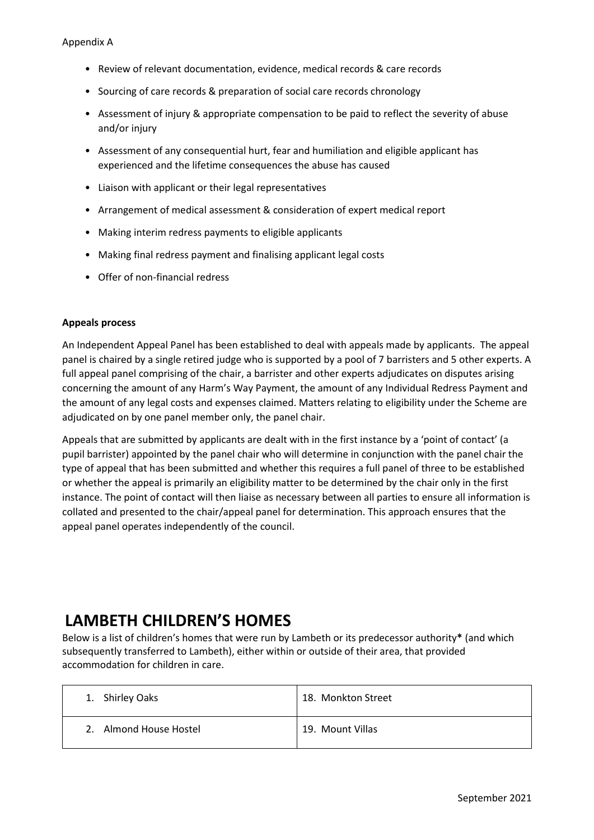- Review of relevant documentation, evidence, medical records & care records
- Sourcing of care records & preparation of social care records chronology
- Assessment of injury & appropriate compensation to be paid to reflect the severity of abuse and/or injury
- Assessment of any consequential hurt, fear and humiliation and eligible applicant has experienced and the lifetime consequences the abuse has caused
- Liaison with applicant or their legal representatives
- Arrangement of medical assessment & consideration of expert medical report
- Making interim redress payments to eligible applicants
- Making final redress payment and finalising applicant legal costs
- Offer of non-financial redress

## **Appeals process**

An Independent Appeal Panel has been established to deal with appeals made by applicants. The appeal panel is chaired by a single retired judge who is supported by a pool of 7 barristers and 5 other experts. A full appeal panel comprising of the chair, a barrister and other experts adjudicates on disputes arising concerning the amount of any Harm's Way Payment, the amount of any Individual Redress Payment and the amount of any legal costs and expenses claimed. Matters relating to eligibility under the Scheme are adjudicated on by one panel member only, the panel chair.

Appeals that are submitted by applicants are dealt with in the first instance by a 'point of contact' (a pupil barrister) appointed by the panel chair who will determine in conjunction with the panel chair the type of appeal that has been submitted and whether this requires a full panel of three to be established or whether the appeal is primarily an eligibility matter to be determined by the chair only in the first instance. The point of contact will then liaise as necessary between all parties to ensure all information is collated and presented to the chair/appeal panel for determination. This approach ensures that the appeal panel operates independently of the council.

# **LAMBETH CHILDREN'S HOMES**

Below is a list of children's homes that were run by Lambeth or its predecessor authority**\*** (and which subsequently transferred to Lambeth), either within or outside of their area, that provided accommodation for children in care.

| 1. Shirley Oaks                    | 18. Monkton Street |
|------------------------------------|--------------------|
| Almond House Hostel<br>$2^{\circ}$ | 19. Mount Villas   |